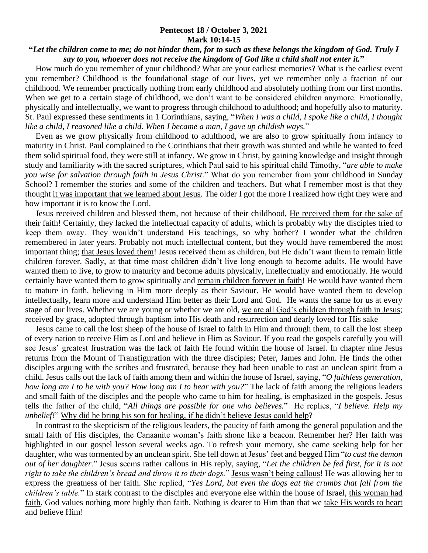## **Pentecost 18 / October 3, 2021 Mark 10:14-15**

## **"***Let the children come to me; do not hinder them, for to such as these belongs the kingdom of God. Truly I say to you, whoever does not receive the kingdom of God like a child shall not enter it.***"**

 How much do you remember of your childhood? What are your earliest memories? What is the earliest event you remember? Childhood is the foundational stage of our lives, yet we remember only a fraction of our childhood. We remember practically nothing from early childhood and absolutely nothing from our first months. When we get to a certain stage of childhood, we don't want to be considered children anymore. Emotionally, physically and intellectually, we want to progress through childhood to adulthood; and hopefully also to maturity. St. Paul expressed these sentiments in 1 Corinthians, saying, "*When I was a child, I spoke like a child, I thought like a child, I reasoned like a child. When I became a man, I gave up childish ways.*"

 Even as we grow physically from childhood to adulthood, we are also to grow spiritually from infancy to maturity in Christ. Paul complained to the Corinthians that their growth was stunted and while he wanted to feed them solid spiritual food, they were still at infancy. We grow in Christ, by gaining knowledge and insight through study and familiarity with the sacred scriptures, which Paul said to his spiritual child Timothy, "*are able to make you wise for salvation through faith in Jesus Christ.*" What do you remember from your childhood in Sunday School? I remember the stories and some of the children and teachers. But what I remember most is that they thought it was important that we learned about Jesus. The older I got the more I realized how right they were and how important it is to know the Lord.

 Jesus received children and blessed them, not because of their childhood, He received them for the sake of their faith! Certainly, they lacked the intellectual capacity of adults, which is probably why the disciples tried to keep them away. They wouldn't understand His teachings, so why bother? I wonder what the children remembered in later years. Probably not much intellectual content, but they would have remembered the most important thing; that Jesus loved them! Jesus received them as children, but He didn't want them to remain little children forever. Sadly, at that time most children didn't live long enough to become adults. He would have wanted them to live, to grow to maturity and become adults physically, intellectually and emotionally. He would certainly have wanted them to grow spiritually and remain children forever in faith! He would have wanted them to mature in faith, believing in Him more deeply as their Saviour. He would have wanted them to develop intellectually, learn more and understand Him better as their Lord and God. He wants the same for us at every stage of our lives. Whether we are young or whether we are old, we are all God's children through faith in Jesus; received by grace, adopted through baptism into His death and resurrection and dearly loved for His sake

 Jesus came to call the lost sheep of the house of Israel to faith in Him and through them, to call the lost sheep of every nation to receive Him as Lord and believe in Him as Saviour. If you read the gospels carefully you will see Jesus' greatest frustration was the lack of faith He found within the house of Israel. In chapter nine Jesus returns from the Mount of Transfiguration with the three disciples; Peter, James and John. He finds the other disciples arguing with the scribes and frustrated, because they had been unable to cast an unclean spirit from a child. Jesus calls out the lack of faith among them and within the house of Israel, saying, "*O faithless generation, how long am I to be with you? How long am I to bear with you?*" The lack of faith among the religious leaders and small faith of the disciples and the people who came to him for healing, is emphasized in the gospels. Jesus tells the father of the child, "*All things are possible for one who believes.*" He replies, "*I believe. Help my unbelief!*" Why did he bring his son for healing, if he didn't believe Jesus could help?

 In contrast to the skepticism of the religious leaders, the paucity of faith among the general population and the small faith of His disciples, the Canaanite woman's faith shone like a beacon. Remember her? Her faith was highlighted in our gospel lesson several weeks ago. To refresh your memory, she came seeking help for her daughter, who was tormented by an unclean spirit. She fell down at Jesus' feet and begged Him "*to cast the demon out of her daughter.*" Jesus seems rather callous in His reply, saying, "*Let the children be fed first, for it is not right to take the children's bread and throw it to their dogs.*" Jesus wasn't being callous! He was allowing her to express the greatness of her faith. She replied, "*Yes Lord, but even the dogs eat the crumbs that fall from the children's table.*" In stark contrast to the disciples and everyone else within the house of Israel, this woman had faith. God values nothing more highly than faith. Nothing is dearer to Him than that we take His words to heart and believe Him!